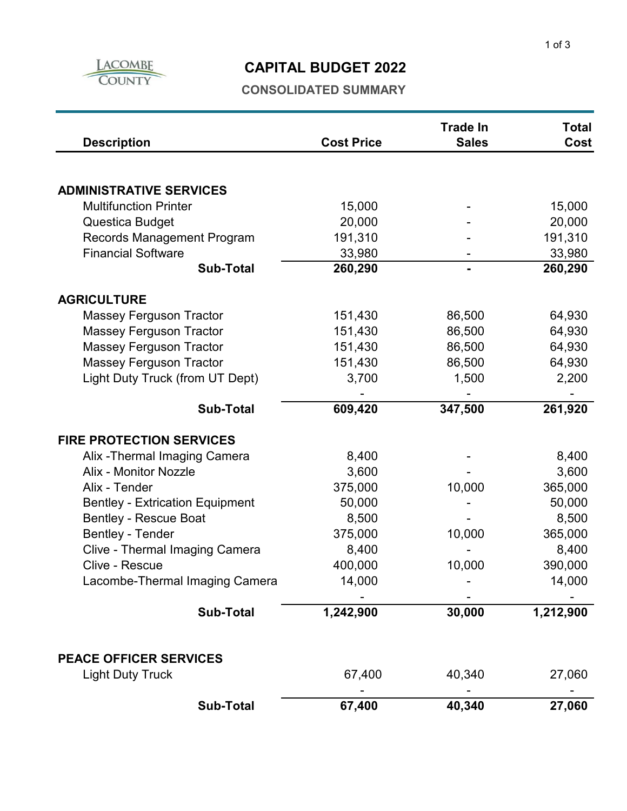

## **CAPITAL BUDGET 2022**

### **CONSOLIDATED SUMMARY**

| <b>Description</b>                     | <b>Cost Price</b> | <b>Trade In</b><br><b>Sales</b> | <b>Total</b><br>Cost |
|----------------------------------------|-------------------|---------------------------------|----------------------|
|                                        |                   |                                 |                      |
| <b>ADMINISTRATIVE SERVICES</b>         |                   |                                 |                      |
| <b>Multifunction Printer</b>           | 15,000            |                                 | 15,000               |
| Questica Budget                        | 20,000            |                                 | 20,000               |
| Records Management Program             | 191,310           |                                 | 191,310              |
| <b>Financial Software</b>              | 33,980            |                                 | 33,980               |
| <b>Sub-Total</b>                       | 260,290           |                                 | 260,290              |
| <b>AGRICULTURE</b>                     |                   |                                 |                      |
| <b>Massey Ferguson Tractor</b>         | 151,430           | 86,500                          | 64,930               |
| <b>Massey Ferguson Tractor</b>         | 151,430           | 86,500                          | 64,930               |
| <b>Massey Ferguson Tractor</b>         | 151,430           | 86,500                          | 64,930               |
| <b>Massey Ferguson Tractor</b>         | 151,430           | 86,500                          | 64,930               |
| Light Duty Truck (from UT Dept)        | 3,700             | 1,500                           | 2,200                |
| <b>Sub-Total</b>                       | 609,420           | 347,500                         | 261,920              |
|                                        |                   |                                 |                      |
| <b>FIRE PROTECTION SERVICES</b>        |                   |                                 |                      |
| Alix - Thermal Imaging Camera          | 8,400             |                                 | 8,400                |
| <b>Alix - Monitor Nozzle</b>           | 3,600             |                                 | 3,600                |
| Alix - Tender                          | 375,000           | 10,000                          | 365,000              |
| <b>Bentley - Extrication Equipment</b> | 50,000            |                                 | 50,000               |
| <b>Bentley - Rescue Boat</b>           | 8,500             |                                 | 8,500                |
| <b>Bentley - Tender</b>                | 375,000           | 10,000                          | 365,000              |
| Clive - Thermal Imaging Camera         | 8,400             |                                 | 8,400                |
| Clive - Rescue                         | 400,000           | 10,000                          | 390,000              |
| Lacombe-Thermal Imaging Camera         | 14,000            |                                 | 14,000               |
|                                        |                   |                                 |                      |
| <b>Sub-Total</b>                       | 1,242,900         | 30,000                          | 1,212,900            |
|                                        |                   |                                 |                      |
| <b>PEACE OFFICER SERVICES</b>          |                   |                                 |                      |
| <b>Light Duty Truck</b>                | 67,400            | 40,340                          | 27,060               |
| <b>Sub-Total</b>                       | 67,400            | 40,340                          | 27,060               |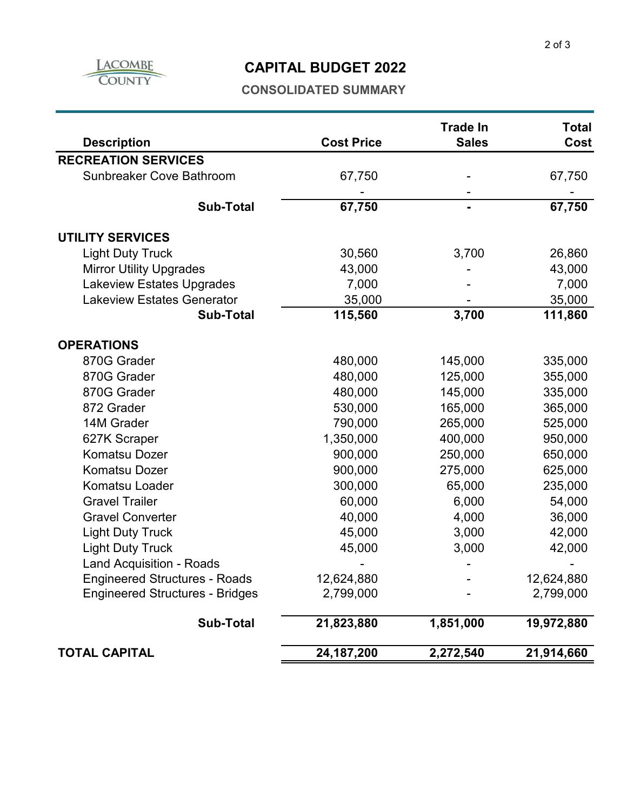

### **CAPITAL BUDGET 2022**

#### **CONSOLIDATED SUMMARY**

| <b>Description</b>                     | <b>Cost Price</b> | <b>Trade In</b><br><b>Sales</b> | <b>Total</b><br>Cost |
|----------------------------------------|-------------------|---------------------------------|----------------------|
| <b>RECREATION SERVICES</b>             |                   |                                 |                      |
| <b>Sunbreaker Cove Bathroom</b>        | 67,750            |                                 | 67,750               |
|                                        |                   |                                 |                      |
| <b>Sub-Total</b>                       | 67,750            |                                 | 67,750               |
| <b>UTILITY SERVICES</b>                |                   |                                 |                      |
| <b>Light Duty Truck</b>                | 30,560            | 3,700                           | 26,860               |
| <b>Mirror Utility Upgrades</b>         | 43,000            |                                 | 43,000               |
| <b>Lakeview Estates Upgrades</b>       | 7,000             |                                 | 7,000                |
| <b>Lakeview Estates Generator</b>      | 35,000            |                                 | 35,000               |
| <b>Sub-Total</b>                       | 115,560           | 3,700                           | 111,860              |
| <b>OPERATIONS</b>                      |                   |                                 |                      |
| 870G Grader                            | 480,000           | 145,000                         | 335,000              |
| 870G Grader                            | 480,000           | 125,000                         | 355,000              |
| 870G Grader                            | 480,000           | 145,000                         | 335,000              |
| 872 Grader                             | 530,000           | 165,000                         | 365,000              |
| 14M Grader                             | 790,000           | 265,000                         | 525,000              |
| 627K Scraper                           | 1,350,000         | 400,000                         | 950,000              |
| <b>Komatsu Dozer</b>                   | 900,000           | 250,000                         | 650,000              |
| <b>Komatsu Dozer</b>                   | 900,000           | 275,000                         | 625,000              |
| Komatsu Loader                         | 300,000           | 65,000                          | 235,000              |
| <b>Gravel Trailer</b>                  | 60,000            | 6,000                           | 54,000               |
| <b>Gravel Converter</b>                | 40,000            | 4,000                           | 36,000               |
| <b>Light Duty Truck</b>                | 45,000            | 3,000                           | 42,000               |
| <b>Light Duty Truck</b>                | 45,000            | 3,000                           | 42,000               |
| <b>Land Acquisition - Roads</b>        |                   |                                 |                      |
| <b>Engineered Structures - Roads</b>   | 12,624,880        |                                 | 12,624,880           |
| <b>Engineered Structures - Bridges</b> | 2,799,000         |                                 | 2,799,000            |
| <b>Sub-Total</b>                       | 21,823,880        | 1,851,000                       | 19,972,880           |
| <b>TOTAL CAPITAL</b>                   | 24, 187, 200      | 2,272,540                       | 21,914,660           |